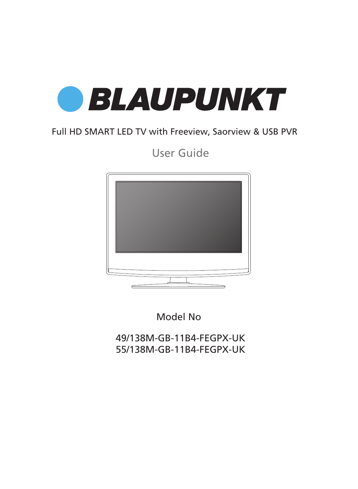

## Full HD SMART LED TV with Freeview, Saorview & USB PVR

User Guide



Model No

49/138M-GB-11B4-FEGPX-UK 55/138M-GB-11B4-FEGPX-UK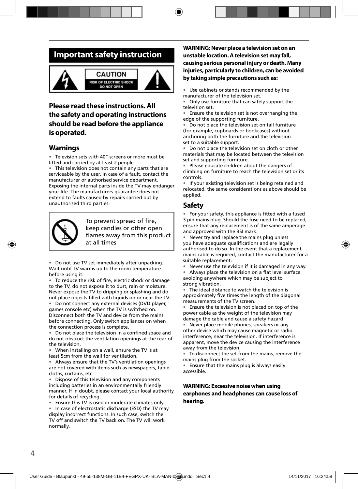## **Important safety instruction**





### **Please read these instructions. All the safety and operating instructions should be read before the appliance is operated.**

### **Warnings**

• Television sets with 40" screens or more must be lifted and carried by at least 2 people.

• This television does not contain any parts that are serviceable by the user. In case of a fault, contact the manufacturer or authorised service department. Exposing the internal parts inside the TV may endanger your life. The manufacturers guarantee does not extend to faults caused by repairs carried out by unauthorised third parties.



To prevent spread of fire, keep candles or other open flames away from this product at all times

• Do not use TV set immediately after unpacking. Wait until TV warms up to the room temperature before using it.

• To reduce the risk of fire, electric shock or damage to the TV, do not expose it to dust, rain or moisture. Never expose the TV to dripping or splashing and do not place objects filled with liquids on or near the TV.

• Do not connect any external devices (DVD player, games console etc) when the TV is switched on. Disconnect both the TV and device from the mains before connecting. Only switch appliances on when the connection process is complete.

Do not place the television in a confined space and do not obstruct the ventilation openings at the rear of the television.

• When installing on a wall, ensure the TV is at least 5cm from the wall for ventilation.

• Always ensure that the TV's ventilation openings are not covered with items such as newspapers, tablecloths, curtains, etc.

Dispose of this television and any components including batteries in an environmentally friendly manner. If in doubt, please contact your local authority for details of recycling.

• Ensure this TV is used in moderate climates only.

In case of electrostatic discharge (ESD) the TV may display incorrect functions. In such case, switch the TV off and switch the TV back on. The TV will work normally.

#### **WARNING: Never place a television set on an unstable location. A television set may fall, causing serious personal injury or death. Many injuries, particularly to children, can be avoided by taking simple precautions such as:**

Use cabinets or stands recommended by the manufacturer of the television set.

• Only use furniture that can safely support the television set.

Ensure the television set is not overhanging the edge of the supporting furniture.

• Do not place the television set on tall furniture (for example, cupboards or bookcases) without anchoring both the furniture and the television set to a suitable support.

Do not place the television set on cloth or other materials that may be located between the television set and supporting furniture.

• Please educate children about the dangers of climbing on furniture to reach the television set or its controls.

• If your existing television set is being retained and relocated, the same considerations as above should be applied.

### **Safety**

• For your safety, this appliance is fitted with a fused 3 pin mains plug. Should the fuse need to be replaced, ensure that any replacement is of the same amperage and approved with the BSI mark.

• Never try and replace the mains plug unless you have adequate qualifications and are legally authorised to do so. In the event that a replacement mains cable is required, contact the manufacturer for a suitable replacement.

• Never use the television if it is damaged in any way.

Always place the television on a flat level surface avoiding anywhere which may be subject to strong vibration.

The ideal distance to watch the television is approximately five times the length of the diagonal measurements of the TV screen.

Ensure the television is not placed on top of the power cable as the weight of the television may damage the cable and cause a safety hazard.

• Never place mobile phones, speakers or any other device which may cause magnetic or radio interference, near the television. If interference is apparent, move the device causing the interference away from the television.

• To disconnect the set from the mains, remove the mains plug from the socket.

• Ensure that the mains plug is always easily accessible.

#### **WARNING: Excessive noise when using earphones and headphones can cause loss of hearing.**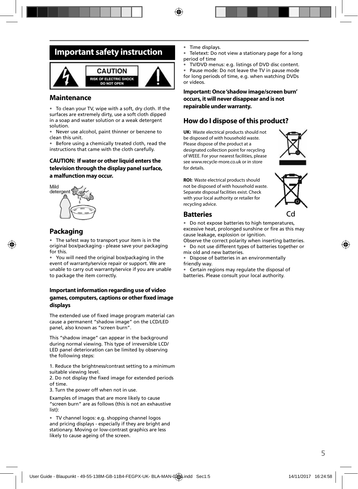## **Important safety instruction**



### **Maintenance**

• To clean your TV, wipe with a soft, dry cloth. If the surfaces are extremely dirty, use a soft cloth dipped in a soap and water solution or a weak detergent solution.

• Never use alcohol, paint thinner or benzene to clean this unit.

• Before using a chemically treated cloth, read the instructions that came with the cloth carefully.

#### **CAUTION: If water or other liquid enters the television through the display panel surface, a malfunction may occur.**



### **Packaging**

• The safest way to transport your item is in the original box/packaging - please save your packaging for this.

• You will need the original box/packaging in the event of warranty/service repair or support. We are unable to carry out warranty/service if you are unable to package the item correctly.

#### **Important information regarding use of video**  games, computers, captions or other fixed image **displays**

The extended use of fixed image program material can cause a permanent "shadow image" on the LCD/LED panel, also known as "screen burn".

This "shadow image" can appear in the background during normal viewing. This type of irreversible LCD/ LED panel deterioration can be limited by observing the following steps:

1. Reduce the brightness/contrast setting to a minimum suitable viewing level.

2. Do not display the fixed image for extended periods of time.

3. Turn the power off when not in use.

Examples of images that are more likely to cause "screen burn" are as follows (this is not an exhaustive list):

• TV channel logos: e.g. shopping channel logos and pricing displays - especially if they are bright and stationary. Moving or low-contrast graphics are less likely to cause ageing of the screen.

- Time displays.
- Teletext: Do not view a stationary page for a long period of time
- TV/DVD menus: e.g. listings of DVD disc content.

• Pause mode: Do not leave the TV in pause mode for long periods of time, e.g. when watching DVDs or videos.

**Important: Once 'shadow image/screen burn' occurs, it will never disappear and is not repairable under warranty.**

### **How do I dispose of this product?**

**UK:** Waste electrical products should not be disposed of with household waste. Please dispose of the product at a designated collection point for recycling of WEEE. For your nearest facilities, please see www.recycle-more.co.uk or in store for details.



**ROI:** Waste electrical products should not be disposed of with household waste. Separate disposal facilities exist. Check with your local authority or retailer for recycling advice.



### **Batteries**

• Do not expose batteries to high temperatures, excessive heat, prolonged sunshine or fire as this may cause leakage, explosion or ignition.

Observe the correct polarity when inserting batteries. • Do not use different types of batteries together or

mix old and new batteries. • Dispose of batteries in an environmentally

friendly way.

• Certain regions may regulate the disposal of batteries. Please consult your local authority.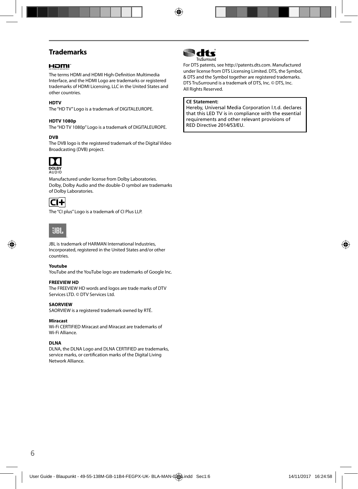### **Trademarks**

### HOMI

The terms HDMI and HDMI High-Definition Multimedia Interface, and the HDMI Logo are trademarks or registered trademarks of HDMI Licensing, LLC in the United States and other countries.

#### **HDTV**

The "HD TV" Logo is a trademark of DIGITALEUROPE.

#### **HDTV 1080p**

The "HD TV 1080p" Logo is a trademark of DIGITALEUROPE.

#### **DVB**

The DVB logo is the registered trademark of the Digital Video Broadcasting (DVB) project.



**DOLBY**<br>AUDIO

Manufactured under license from Dolby Laboratories. Dolby, Dolby Audio and the double-D symbol are trademarks of Dolby Laboratories.



The "CI plus" Logo is a trademark of CI Plus LLP.



JBL is trademark of HARMAN International Industries, Incorporated, registered in the United States and/or other countries.

#### **Youtube**

YouTube and the YouTube logo are trademarks of Google Inc.

#### **FREEVIEW HD**

The FREEVIEW HD words and logos are trade marks of DTV Services LTD. © DTV Services Ltd.

#### **SAORVIEW**

SAORVIEW is a registered trademark owned by RTÉ.

#### **Miracast**

Wi-Fi CERTIFIED Miracast and Miracast are trademarks of Wi-Fi Alliance.

#### **DLNA**

DLNA, the DLNA Logo and DLNA CERTIFIED are trademarks, service marks, or certification marks of the Digital Living Network Alliance.



For DTS patents, see http://patents.dts.com. Manufactured under license from DTS Licensing Limited. DTS, the Symbol, & DTS and the Symbol together are registered trademarks. DTS TruSurround is a trademark of DTS, Inc. © DTS, Inc. All Rights Reserved.

#### **CE Statement:**

Hereby, Universal Media Corporation l.t.d. declares that this LED TV is in compliance with the essential requirements and other relevant provisions of RED Directive 2014/53/EU.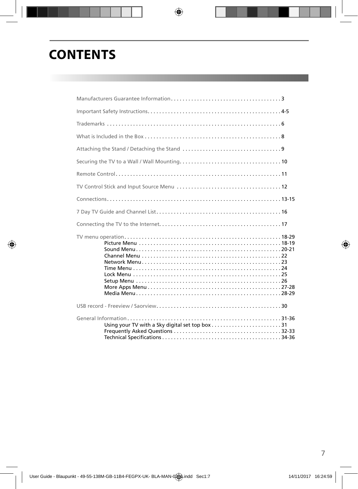## **CONTENTS**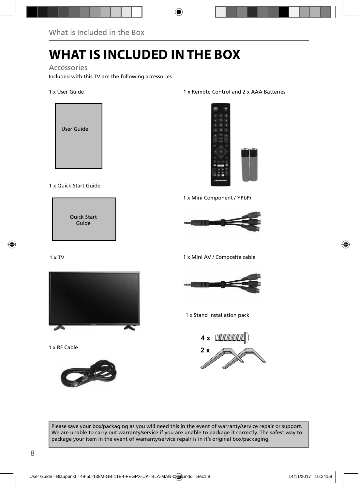# **WHAT IS INCLUDED IN THE BOX**

Accessories

Included with this TV are the following accessories

#### 1 x User Guide



#### 1 x Quick Start Guide



#### $1 \times TV$



1 x RF Cable



#### 1 x Remote Control and 2 x AAA Batteries



1 x Mini Component / YPbPr



1 x Mini AV / Composite cable



1 x Stand installation pack

**4 x 2 x**

Please save your box/packaging as you will need this in the event of warranty/service repair or support. We are unable to carry out warranty/service if you are unable to package it correctly. The safest way to package your item in the event of warranty/service repair is in it's original box/packaging.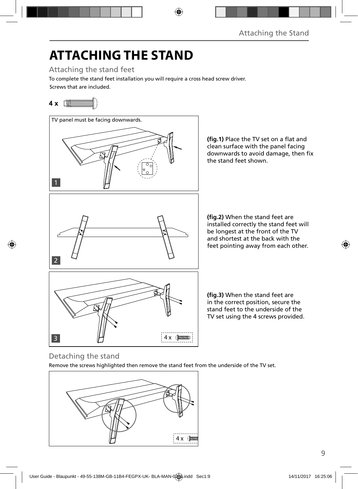# **ATTACHING THE STAND**

Attaching the stand feet

Screws that are included. To complete the stand feet installation you will require a cross head screw driver.

## **4 x**



Detaching the stand

Remove the screws highlighted then remove the stand feet from the underside of the TV set.

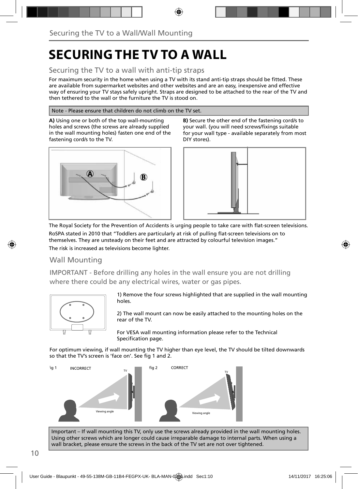## **SECURING THE TV TO A WALL**

### Securing the TV to a wall with anti-tip straps

For maximum security in the home when using a TV with its stand anti-tip straps should be fitted. These are available from supermarket websites and other websites and are an easy, inexpensive and effective way of ensuring your TV stays safely upright. Straps are designed to be attached to the rear of the TV and then tethered to the wall or the furniture the TV is stood on.

#### Note - Please ensure that children do not climb on the TV set.

**A)** Using one or both of the top wall-mounting holes and screws (the screws are already supplied in the wall mounting holes) fasten one end of the fastening cord/s to the TV.



**B)** Secure the other end of the fastening cord/s to your wall. (you will need screws/fixings suitable for your wall type - available separately from most DIY stores).



The Royal Society for the Prevention of Accidents is urging people to take care with flat-screen televisions. RoSPA stated in 2010 that "Toddlers are particularly at risk of pulling flat-screen televisions on to themselves. They are unsteady on their feet and are attracted by colourful television images." The risk is increased as televisions become lighter.

### Wall Mounting

IMPORTANT - Before drilling any holes in the wall ensure you are not drilling where there could be any electrical wires, water or gas pipes.



1) Remove the four screws highlighted that are supplied in the wall mounting holes.

2) The wall mount can now be easily attached to the mounting holes on the rear of the TV.

For VESA wall mounting information please refer to the Technical Specification page.

For optimum viewing, if wall mounting the TV higher than eye level, the TV should be tilted downwards so that the TV's screen is 'face on'. See fig 1 and 2.



Important – If wall mounting this TV, only use the screws already provided in the wall mounting holes. Using other screws which are longer could cause irreparable damage to internal parts. When using a wall bracket, please ensure the screws in the back of the TV set are not over tightened.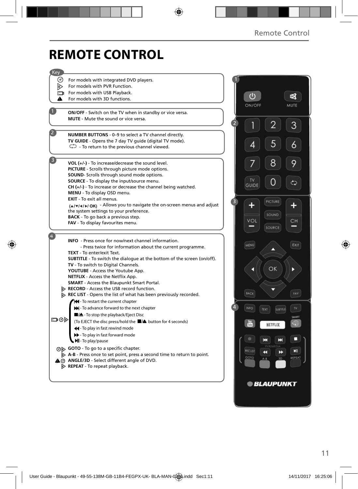## **REMOTE CONTROL**

| Key    |                                                                                                                                          |                |                                       |                |            |
|--------|------------------------------------------------------------------------------------------------------------------------------------------|----------------|---------------------------------------|----------------|------------|
| (ം)    | For models with integrated DVD players.                                                                                                  |                |                                       |                |            |
| D      | For models with PVR Function.                                                                                                            |                |                                       |                |            |
| $\Box$ | For models with USB Playback.                                                                                                            |                |                                       |                |            |
| A      | For models with 3D functions.                                                                                                            |                | ഄ                                     |                | 唿          |
|        |                                                                                                                                          |                | ON/OFF                                |                | MUTE       |
|        | ON/OFF - Switch on the TV when in standby or vice versa.                                                                                 |                |                                       |                |            |
|        | <b>MUTE</b> - Mute the sound or vice versa.                                                                                              |                |                                       |                |            |
|        |                                                                                                                                          | $\overline{2}$ |                                       | 2              | 3          |
|        | NUMBER BUTTONS - 0-9 to select a TV channel directly.                                                                                    |                |                                       |                |            |
|        | TV GUIDE - Opens the 7 day TV guide (digital TV mode).                                                                                   |                |                                       | 5              |            |
|        | $\mathbb{C}$ - To return to the previous channel viewed.                                                                                 |                | 4                                     |                | 6          |
|        |                                                                                                                                          |                |                                       |                |            |
|        | VOL $(+/-)$ - To increase/decrease the sound level.                                                                                      |                |                                       | 8              | 9          |
|        | PICTURE - Scrolls through picture mode options.                                                                                          |                |                                       |                |            |
|        | <b>SOUND-</b> Scrolls through sound mode options.                                                                                        |                |                                       |                |            |
|        | <b>SOURCE</b> - To display the input/source menu.                                                                                        |                | <b>TV</b><br><b>GUIDE</b>             |                | ¢          |
|        | $CH (+/-)$ - To increase or decrease the channel being watched.                                                                          |                |                                       |                |            |
|        | MENU - To display OSD menu.<br><b>EXIT</b> - To exit all menus.                                                                          |                |                                       |                |            |
|        | (A/V/4/D/OK) - Allows you to navigate the on-screen menus and adjust                                                                     | 3              |                                       | <b>PICTURE</b> |            |
|        | the system settings to your preference.                                                                                                  |                |                                       |                |            |
|        | <b>BACK</b> - To go back a previous step.                                                                                                |                | VOL                                   | SOUND          |            |
|        | FAV - To display favourites menu.                                                                                                        |                |                                       | SOURCE         | CН         |
|        |                                                                                                                                          |                |                                       |                |            |
|        | INFO - Press once for now/next channel information.                                                                                      |                |                                       |                |            |
|        | - Press twice for information about the current programme.                                                                               |                | MENU                                  |                | EXIT       |
|        | TEXT - To enter/exit Text.                                                                                                               |                |                                       |                |            |
|        | <b>SUBTITLE</b> - To switch the dialogue at the bottom of the screen (on/off).                                                           |                |                                       |                |            |
|        | <b>TV</b> - To switch to Digital Channels.                                                                                               |                |                                       | ΟK             |            |
|        | YOUTUBE - Access the Youtube App.<br>NETFLIX - Access the Netflix App.                                                                   |                |                                       |                |            |
|        | <b>SMART</b> - Access the Blaupunkt Smart Portal.                                                                                        |                |                                       |                |            |
|        | RECORD - Access the USB record function.                                                                                                 |                |                                       |                |            |
|        | REC LIST - Opens the list of what has been previously recorded.                                                                          |                | BACK                                  |                | <b>FAV</b> |
|        | Hel-To restart the current chapter                                                                                                       |                |                                       |                |            |
|        | M- To advance forward to the next chapter                                                                                                |                | <b>INFO</b><br>TEXT                   | SUBTITLE       | TV.        |
|        | ■/▲- To stop the playback/Eject Disc                                                                                                     |                |                                       |                | SMART      |
| ⊡⊙     | (To EJECT the disc press/hold the ■/▲ button for 4 seconds)                                                                              |                |                                       | NETFLIX        | 田田         |
|        | 44 - To play in fast rewind mode                                                                                                         |                |                                       |                |            |
|        | >> - To play in fast forward mode                                                                                                        |                | к                                     | ш              | п          |
|        | MI-To play/pause                                                                                                                         |                |                                       |                |            |
|        | ⊙ GOTO - To go to a specific chapter.                                                                                                    |                | <b>RECUST</b><br>$\blacktriangleleft$ | ▸              | ыı         |
|        | $\triangleright$ A-B - Press once to set point, press a second time to return to point.<br>A @ ANGLE/3D - Select different angle of DVD. |                | GOTO<br>$A - B$                       | 3D             | REPEAT     |
|        | $\triangleright$ REPEAT - To repeat playback.                                                                                            |                |                                       |                |            |
|        |                                                                                                                                          |                |                                       |                |            |
|        |                                                                                                                                          |                |                                       |                |            |
|        |                                                                                                                                          |                | <b>© BLAUPUNKT</b>                    |                |            |
|        |                                                                                                                                          |                |                                       |                |            |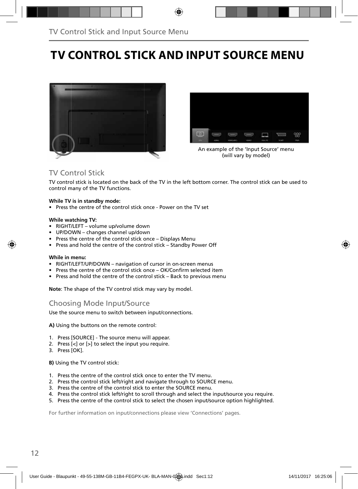## **TV CONTROL STICK AND INPUT SOURCE MENU**





An example of the 'Input Source' menu (will vary by model)

### TV Control Stick

TV control stick is located on the back of the TV in the left bottom corner. The control stick can be used to control many of the TV functions.

#### **While TV is in standby mode:**

• Press the centre of the control stick once - Power on the TV set

#### **While watching TV:**

- RIGHT/LEFT volume up/volume down
- UP/DOWN changes channel up/down
- Press the centre of the control stick once Displays Menu
- Press and hold the centre of the control stick Standby Power Off

#### **While in menu:**

- RIGHT/LEFT/UP/DOWN navigation of cursor in on-screen menus
- Press the centre of the control stick once OK/Confirm selected item
- Press and hold the centre of the control stick Back to previous menu

**Note**: The shape of the TV control stick may vary by model.

### Choosing Mode Input/Source

Use the source menu to switch between input/connections.

**A)** Using the buttons on the remote control:

- 1. Press [SOURCE] The source menu will appear.
- 2. Press [<] or [>] to select the input you require.
- 3. Press [OK].

**B)** Using the TV control stick:

- 1. Press the centre of the control stick once to enter the TV menu.
- 2. Press the control stick left/right and navigate through to SOURCE menu.
- 3. Press the centre of the control stick to enter the SOURCE menu.
- 4. Press the control stick left/right to scroll through and select the input/source you require.
- 5. Press the centre of the control stick to select the chosen input/source option highlighted.

For further information on input/connections please view 'Connections' pages.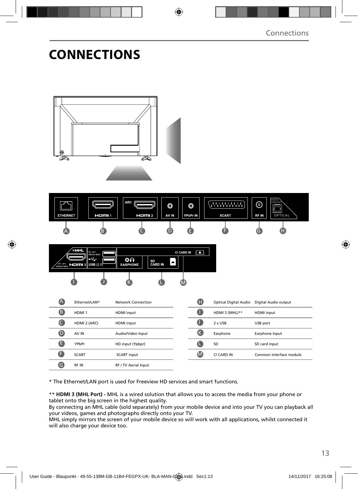## **CONNECTIONS**



\* The Ethernet/LAN port is used for Freeview HD services and smart functions.

\*\* **HDMI 3 (MHL Port) -** MHL is a wired solution that allows you to access the media from your phone or tablet onto the big screen in the highest quality.

By connecting an MHL cable (sold separately) from your mobile device and into your TV you can playback all your videos, games and photographs directly onto your TV.

MHL simply mirrors the screen of your mobile device so will work with all applications, whilst connected it will also charge your device too.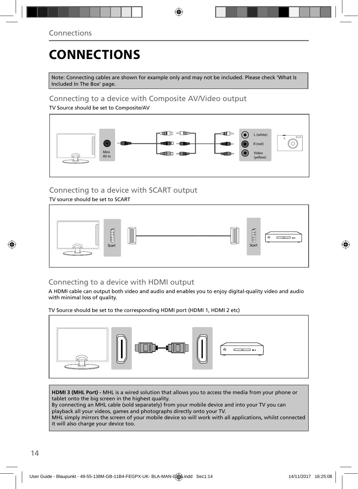# **CONNECTIONS**

Note: Connecting cables are shown for example only and may not be included. Please check 'What Is Included In The Box' page.

### Connecting to a device with Composite AV/Video output

TV Source should be set to Composite/AV



### Connecting to a device with SCART output

TV source should be set to SCART



### Connecting to a device with HDMI output

A HDMI cable can output both video and audio and enables you to enjoy digital-quality video and audio with minimal loss of quality.

TV Source should be set to the corresponding HDMI port (HDMI 1, HDMI 2 etc)



**HDMI 3 (MHL Port) -** MHL is a wired solution that allows you to access the media from your phone or tablet onto the big screen in the highest quality.

By connecting an MHL cable (sold separately) from your mobile device and into your TV you can playback all your videos, games and photographs directly onto your TV.

MHL simply mirrors the screen of your mobile device so will work with all applications, whilst connected it will also charge your device too.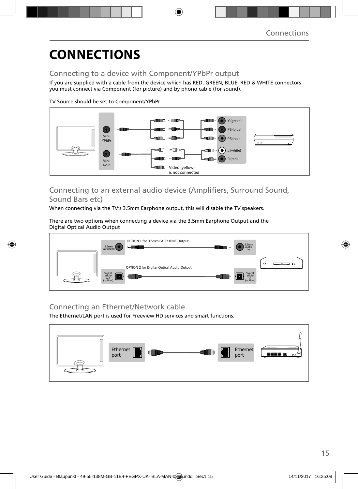# **CONNECTIONS**

### Connecting to a device with Component/YPbPr output

If you are supplied with a cable from the device which has RED, GREEN, BLUE, RED & WHITE connectors you must connect via Component (for picture) and by phono cable (for sound).

TV Source should be set to Component/YPbPr



### Connecting to an external audio device (Amplifiers, Surround Sound, Sound Bars etc)

When connecting via the TV's 3.5mm Earphone output, this will disable the TV speakers.

There are two options when connecting a device via the 3.5mm Earphone Output and the Digital Optical Audio Output



### Connecting an Ethernet/Network cable

The Ethernet/LAN port is used for Freeview HD services and smart functions.

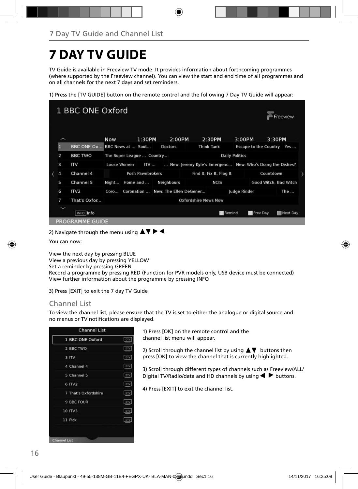# **7 DAY TV GUIDE**

TV Guide is available in Freeview TV mode. It provides information about forthcoming programmes (where supported by the Freeview channel). You can view the start and end time of all programmes and on all channels for the next 7 days and set reminders.

1) Press the [TV GUIDE] button on the remote control and the following 7 Day TV Guide will appear:



2) Navigate through the menu using  $\blacktriangle \blacktriangledown \blacktriangleright \blacktriangleleft$ .

You can now:

View the next day by pressing BLUE View a previous day by pressing YELLOW Set a reminder by pressing GREEN Record a programme by pressing RED (Function for PVR models only, USB device must be connected) View further information about the programme by pressing INFO

3) Press [EXIT] to exit the 7 day TV Guide

### Channel List

To view the channel list, please ensure that the TV is set to either the analogue or digital source and no menus or TV notifications are displayed.

| 1 BBC ONE Oxford     | <b>DIV</b> |
|----------------------|------------|
| 2 BBC TWO            | DTV        |
| 3 ITV                | ory        |
| 4 Channel 4          | DIV.       |
| 5 Channel 5          | prv        |
| 6 ITV2               | DTV        |
| 7 That's Oxfordshire | DTV        |
| 9 BBC FOUR           | <b>DIV</b> |
| 10 ITV3              | <b>DTV</b> |
| 11 Pick              | DTV        |

1) Press [OK] on the remote control and the channel list menu will appear.

2) Scroll through the channel list by using  $\blacktriangle \blacktriangledown$  buttons then press [OK] to view the channel that is currently highlighted.

3) Scroll through different types of channels such as Freeview/ALL/ Digital TV/Radio/data and HD channels by using  $\blacktriangleleft$  buttons.

4) Press [EXIT] to exit the channel list.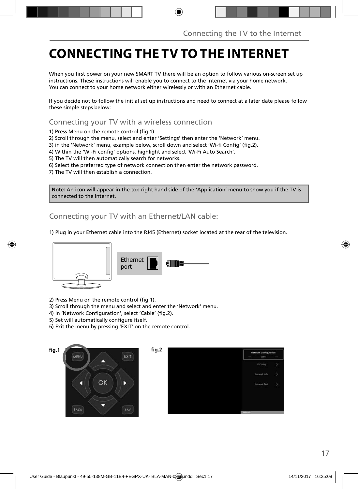## **CONNECTING THE TV TO THE INTERNET**

When you first power on your new SMART TV there will be an option to follow various on-screen set up instructions. These instructions will enable you to connect to the internet via your home network. You can connect to your home network either wirelessly or with an Ethernet cable.

If you decide not to follow the initial set up instructions and need to connect at a later date please follow these simple steps below:

Connecting your TV with a wireless connection

1) Press Menu on the remote control (fig.1).

2) Scroll through the menu, select and enter 'Settings' then enter the 'Network' menu.

3) in the 'Network' menu, example below, scroll down and select 'Wi-fi Config' (fig.2).

4) Within the 'Wi-Fi config' options, highlight and select 'Wi-Fi Auto Search'.

5) The TV will then automatically search for networks.

6) Select the preferred type of network connection then enter the network password.

7) The TV will then establish a connection.

**Note:** An icon will appear in the top right hand side of the 'Application' menu to show you if the TV is connected to the internet.

Connecting your TV with an Ethernet/LAN cable:

1) Plug in your Ethernet cable into the RJ45 (Ethernet) socket located at the rear of the television.



2) Press Menu on the remote control (fig.1).

3) Scroll through the menu and select and enter the 'Network' menu.

4) In 'Network Configuration', select 'Cable' (fig.2).

5) Set will automatically configure itself.

6) Exit the menu by pressing 'EXIT' on the remote control.

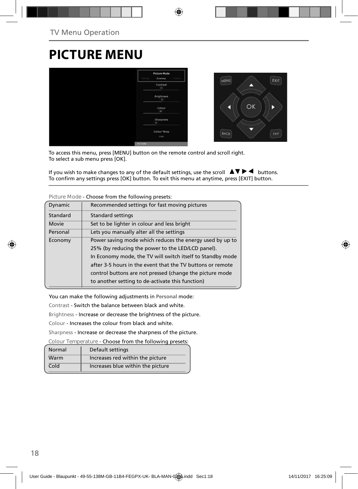## **PICTURE MENU**



To access this menu, press [MENU] button on the remote control and scroll right. To select a sub menu press [OK].

If you wish to make changes to any of the default settings, use the scroll  $\Box \blacktriangledown \blacktriangleright \blacktriangleleft$  buttons. To confirm any settings press [OK] button. To exit this menu at anytime, press [EXIT] button.

|          | CHOOSE TIONIT LITE TONOWING DIESELS.                       |
|----------|------------------------------------------------------------|
| Dynamic  | Recommended settings for fast moving pictures              |
| Standard | <b>Standard settings</b>                                   |
| Movie    | Set to be lighter in colour and less bright                |
| Personal | Lets you manually alter all the settings                   |
| Economy  | Power saving mode which reduces the energy used by up to   |
|          | 25% (by reducing the power to the LED/LCD panel).          |
|          | In Economy mode, the TV will switch itself to Standby mode |
|          | after 3-5 hours in the event that the TV buttons or remote |
|          | control buttons are not pressed (change the picture mode   |
|          | to another setting to de-activate this function)           |
|          |                                                            |

**Picture Mode** - Choose from the following presets:

You can make the following adjustments in **Personal** mode:

Contrast - Switch the balance between black and white.

Brightness - Increase or decrease the brightness of the picture.

Colour - Increases the colour from black and white.

Sharpness - Increase or decrease the sharpness of the picture.

**Colour Temperature** - Choose from the following presets:

| Normal | Default settings                  |
|--------|-----------------------------------|
| Warm   | Increases red within the picture  |
| Cold   | Increases blue within the picture |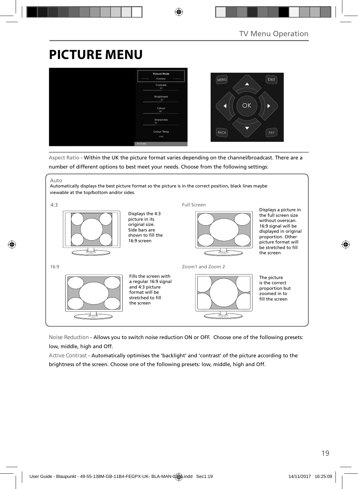## **PICTURE MENU**



Aspect Ratio - Within the UK the picture format varies depending on the channel/broadcast. There are a number of different options to best meet your needs. Choose from the following settings:

Auto

Automatically displays the best picture format so the picture is in the correct position, black lines maybe viewable at the top/bottom and/or sides.



**Noise Reduction** - Allows you to switch noise reduction ON or OFF. Choose one of the following presets: low, middle, high and Off.

**Active Contrast** - Automatically optimises the 'backlight' and 'contrast' of the picture according to the brightness of the screen. Choose one of the following presets: low, middle, high and Off.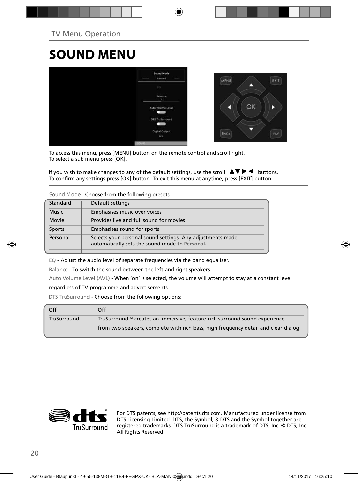## **SOUND MENU**



To access this menu, press [MENU] button on the remote control and scroll right. To select a sub menu press [OK].

If you wish to make changes to any of the default settings, use the scroll  $\blacktriangle \blacktriangledown \blacktriangleright \blacktriangleleft$  buttons. To confirm any settings press [OK] button. To exit this menu at anytime, press [EXIT] button.

**Sound Mode** - Choose from the following presets

| Standard     | Default settings                                                                                             |  |
|--------------|--------------------------------------------------------------------------------------------------------------|--|
| <b>Music</b> | Emphasises music over voices                                                                                 |  |
| Movie        | Provides live and full sound for movies                                                                      |  |
| Sports       | Emphasises sound for sports                                                                                  |  |
| Personal     | Selects your personal sound settings. Any adjustments made<br>automatically sets the sound mode to Personal. |  |

EQ - Adjust the audio level of separate frequencies via the band equaliser.

Balance - To switch the sound between the left and right speakers.

Auto Volume Level (AVL) - When 'on' is selected, the volume will attempt to stay at a constant level

#### regardless of TV programme and advertisements.

DTS TruSurround - Choose from the following options:

| Off         | Off                                                                                |
|-------------|------------------------------------------------------------------------------------|
| TruSurround | TruSurround™ creates an immersive, feature-rich surround sound experience          |
|             | from two speakers, complete with rich bass, high frequency detail and clear dialog |
|             |                                                                                    |



For DTS patents, see http://patents.dts.com. Manufactured under license from DTS Licensing Limited. DTS, the Symbol, & DTS and the Symbol together are registered trademarks. DTS TruSurround is a trademark of DTS, Inc. © DTS, Inc. All Rights Reserved.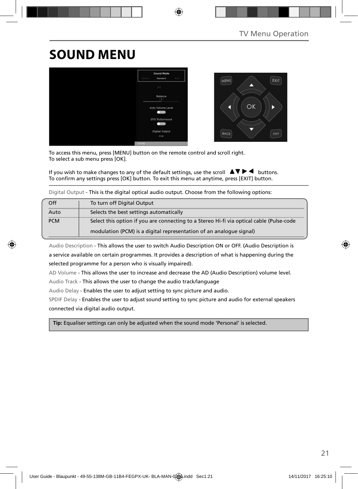## **SOUND MENU**



To access this menu, press [MENU] button on the remote control and scroll right. To select a sub menu press [OK].

If you wish to make changes to any of the default settings, use the scroll  $\Delta \nabla \blacktriangleright$  buttons. To confirm any settings press [OK] button. To exit this menu at anytime, press [EXIT] button.

Digital Output - This is the digital optical audio output. Choose from the following options:

| Off        | To turn off Digital Output                                                               |  |
|------------|------------------------------------------------------------------------------------------|--|
| Auto       | Selects the best settings automatically                                                  |  |
| <b>PCM</b> | Select this option if you are connecting to a Stereo Hi-fi via optical cable (Pulse-code |  |
|            | modulation (PCM) is a digital representation of an analogue signal)                      |  |

Audio Description - This allows the user to switch Audio Description ON or OFF. (Audio Description is a service available on certain programmes. It provides a description of what is happening during the selected programme for a person who is visually impaired).

AD Volume - This allows the user to increase and decrease the AD (Audio Description) volume level.

Audio Track - This allows the user to change the audio track/language

Audio Delay - Enables the user to adjust setting to sync picture and audio.

SPDIF Delay - Enables the user to adjust sound setting to sync picture and audio for external speakers connected via digital audio output.

 **Tip:** Equaliser settings can only be adjusted when the sound mode 'Personal' is selected.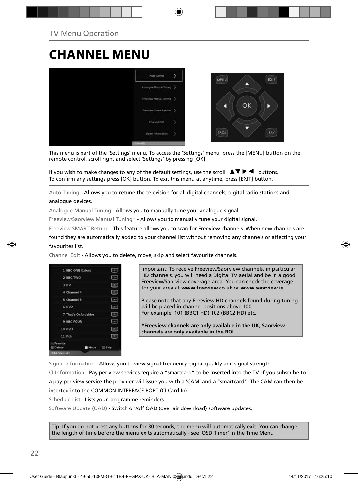## **CHANNEL MENU**



This menu is part of the 'Settings' menu, To access the 'Settings' menu, press the [MENU] button on the remote control, scroll right and select 'Settings' by pressing [OK].

If you wish to make changes to any of the default settings, use the scroll  $\blacktriangle \blacktriangledown \blacktriangleright \blacktriangleleft$  buttons. To confirm any settings press [OK] button. To exit this menu at anytime, press [EXIT] button.

Auto Tuning - Allows you to retune the television for all digital channels, digital radio stations and analogue devices.

Analogue Manual Tuning - Allows you to manually tune your analogue signal.

Freeview/Saorview Manual Tuning\* - Allows you to manually tune your digital signal.

Freeview SMART Retune - This feature allows you to scan for Freeview channels. When new channels are

found they are automatically added to your channel list without removing any channels or affecting your favourites list.

Channel Edit - Allows you to delete, move, skip and select favourite channels.



Important: To receive Freeview/Saorview channels, in particular HD channels, you will need a Digital TV aerial and be in a good Freeview/Saorview coverage area. You can check the coverage for your area at **www.freeview.co.uk** or **www.saorview.ie**

Please note that any Freeview HD channels found during tuning will be placed in channel positions above 100. For example, 101 (BBC1 HD) 102 (BBC2 HD) etc.

**\*Freeview channels are only available in the UK, Saorview channels are only available in the ROI.**

Signal Information - Allows you to view signal frequency, signal quality and signal strength.

CI Information - Pay per view services require a "smartcard" to be inserted into the TV. If you subscribe to a pay per view service the provider will issue you with a 'CAM' and a "smartcard". The CAM can then be inserted into the COMMON INTERFACE PORT (CI Card In).

Schedule List - Lists your programme reminders.

Software Update (OAD) - Switch on/off OAD (over air download) software updates.

Tip: If you do not press any buttons for 30 seconds, the menu will automatically exit. You can change the length of time before the menu exits automatically - see 'OSD Timer' in the Time Menu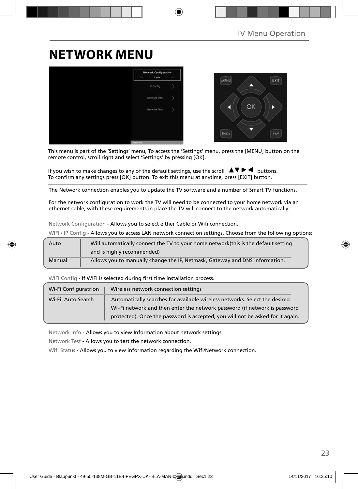## **NETWORK MENU**



This menu is part of the 'Settings' menu, To access the 'Settings' menu, press the [MENU] button on the remote control, scroll right and select 'Settings' by pressing [OK].

If you wish to make changes to any of the default settings, use the scroll  $\Box \blacktriangledown \blacktriangleright \blacktriangleleft$  buttons. To confirm any settings press [OK] button. To exit this menu at anytime, press [EXIT] button.

The Network connection enables you to update the TV software and a number of Smart TV functions.

For the network configuration to work the TV will need to be connected to your home network via an ethernet cable, with these requirements in place the TV will connect to the network automatically.

Network Configuration - Allows you to select either Cable or Wifi connection.

WIFI / IP Config - Allows you to access LAN network connection settings. Choose from the following options:

| Auto   | Will automatically connect the TV to your home network (this is the default setting |
|--------|-------------------------------------------------------------------------------------|
|        | and is highly recommended)                                                          |
| Manual | Allows you to manually change the IP, Netmask, Gateway and DNS information.         |

WIFI Config - If WIFI is selected during first time installation process.

| Wi-Fi Configuratrion | Wireless network connection settings                                           |
|----------------------|--------------------------------------------------------------------------------|
| Wi-Fi Auto Search    | Automatically searches for available wireless networks. Select the desired     |
|                      | Wi-Fi network and then enter the network password (if network is password      |
|                      | protected). Once the password is accepted, you will not be asked for it again. |

Network Info - Allows you to view Information about network settings.

Network Test - Allows you to test the network connection.

Wifi Status - Allows you to view information regarding the Wifi/Network connection.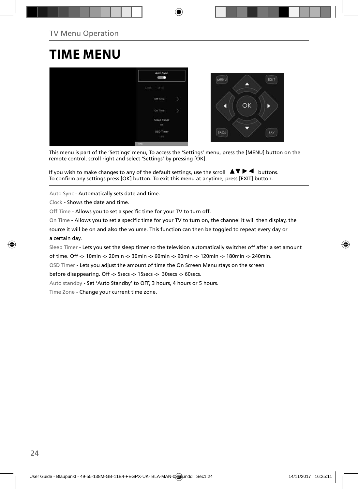## **TIME MENU**



This menu is part of the 'Settings' menu, To access the 'Settings' menu, press the [MENU] button on the remote control, scroll right and select 'Settings' by pressing [OK].

If you wish to make changes to any of the default settings, use the scroll  $\Box \blacktriangledown \blacktriangleright \blacktriangleleft$  buttons. To confirm any settings press [OK] button. To exit this menu at anytime, press [EXIT] button.

Auto Sync - Automatically sets date and time.

Clock - Shows the date and time.

Off Time - Allows you to set a specific time for your TV to turn off.

On Time - Allows you to set a specific time for your TV to turn on, the channel it will then display, the

source it will be on and also the volume. This function can then be toggled to repeat every day or a certain day.

Sleep Timer - Lets you set the sleep timer so the television automatically switches off after a set amount

of time. Off -> 10min -> 20min -> 30min -> 60min -> 90min -> 120min -> 180min -> 240min.

OSD Timer - Lets you adjust the amount of time the On Screen Menu stays on the screen

before disappearing. Off -> 5secs -> 15secs -> 30secs -> 60secs.

Auto standby - Set 'Auto Standby' to OFF, 3 hours, 4 hours or 5 hours.

Time Zone - Change your current time zone.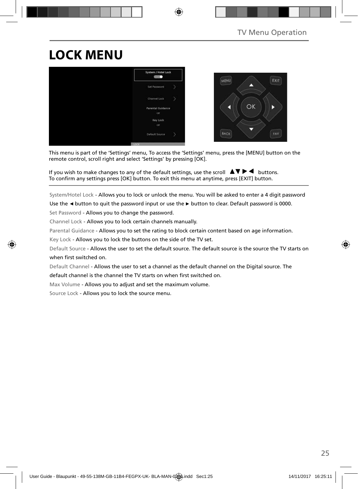# **LOCK MENU**



This menu is part of the 'Settings' menu, To access the 'Settings' menu, press the [MENU] button on the remote control, scroll right and select 'Settings' by pressing [OK].

If you wish to make changes to any of the default settings, use the scroll  $\Box \blacktriangledown \blacktriangleright \blacktriangleleft$  buttons. To confirm any settings press [OK] button. To exit this menu at anytime, press [EXIT] button.

System/Hotel Lock - Allows you to lock or unlock the menu. You will be asked to enter a 4 digit password

Use the **◄** button to quit the password input or use the **►** button to clear. Default password is 0000.

Set Password - Allows you to change the password.

Channel Lock - Allows you to lock certain channels manually.

Parental Guidance - Allows you to set the rating to block certain content based on age information.

Key Lock - Allows you to lock the buttons on the side of the TV set.

Default Source - Allows the user to set the default source. The default source is the source the TV starts on when first switched on.

Default Channel - Allows the user to set a channel as the default channel on the Digital source. The default channel is the channel the TV starts on when first switched on.

Max Volume - Allows you to adjust and set the maximum volume.

Source Lock - Allows you to lock the source menu.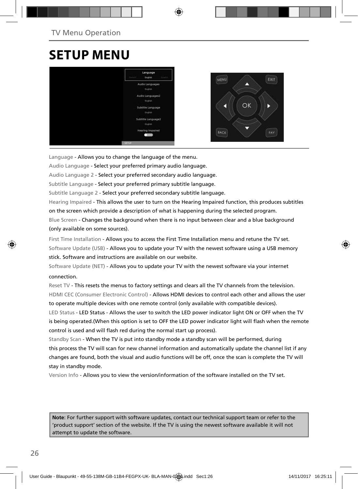## **SETUP MENU**



Language - Allows you to change the language of the menu.

Audio Language - Select your preferred primary audio language.

Audio Language 2 - Select your preferred secondary audio language.

Subtitle Language - Select your preferred primary subtitle language.

Subtitle Language 2 - Select your preferred secondary subtitle language.

Hearing Impaired - This allows the user to turn on the Hearing Impaired function, this produces subtitles on the screen which provide a description of what is happening during the selected program.

Blue Screen - Changes the background when there is no input between clear and a blue background (only available on some sources).

First Time Installation - Allows you to access the First Time Installation menu and retune the TV set. Software Update (USB) - Allows you to update your TV with the newest software using a USB memory stick. Software and instructions are available on our website.

Software Update (NET) - Allows you to update your TV with the newest software via your internet

#### connection.

Reset TV - This resets the menus to factory settings and clears all the TV channels from the television. HDMI CEC (Consumer Electronic Control) - Allows HDMI devices to control each other and allows the user to operate multiple devices with one remote control (only available with compatible devices).

LED Status - LED Status - Allows the user to switch the LED power indicator light ON or OFF when the TV is being operated.(When this option is set to OFF the LED power indicator light will flash when the remote control is used and will flash red during the normal start up process).

Standby Scan - When the TV is put into standby mode a standby scan will be performed, during this process the TV will scan for new channel information and automatically update the channel list if any changes are found, both the visual and audio functions will be off, once the scan is complete the TV will stay in standby mode.

Version Info - Allows you to view the version/information of the software installed on the TV set.

**Note**: For further support with software updates, contact our technical support team or refer to the 'product support' section of the website. If the TV is using the newest software available it will not attempt to update the software.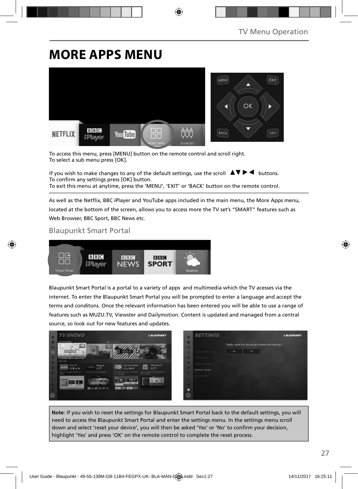## **MORE APPS MENU**



To access this menu, press [MENU] button on the remote control and scroll right. To select a sub menu press [OK].

If you wish to make changes to any of the default settings, use the scroll  $\blacktriangle \blacktriangledown \blacktriangleright \blacktriangleleft$  buttons. To confirm any settings press [OK] button. To exit this menu at anytime, press the 'MENU', 'EXIT' or 'BACK' button on the remote control.

As well as the Netflix, BBC iPlayer and YouTube apps included in the main menu, the More Apps menu, located at the bottom of the screen, allows you to access more the TV set's "SMART" features such as Web Browser, BBC Sport, BBC News etc.

### Blaupunkt Smart Portal



Blaupunkt Smart Portal is a portal to a variety of apps and multimedia which the TV acesses via the internet. To enter the Blaupunkt Smart Portal you will be prompted to enter a language and accept the terms and conditons. Once the relevant information has been entered you will be able to use a range of features such as MUZU.TV, Viewster and Dailymotion. Content is updated and managed from a central source, so look out for new features and updates.



**Note**: If you wish to reset the settings for Blaupunkt Smart Portal back to the default settings, you will need to access the Blaupunkt Smart Portal and enter the settings menu. In the settings menu scroll down and select 'reset your device', you will then be asked 'Yes' or 'No' to confirm your decision, highlight 'Yes' and press 'OK' on the remote control to complete the reset process.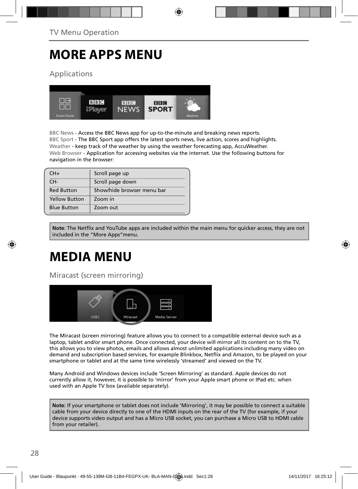## **MORE APPS MENU**

Applications



BBC News - Access the BBC News app for up-to-the-minute and breaking news reports. BBC Sport - The BBC Sport app offers the latest sports news, live action, scores and highlights. Weather - keep track of the weather by using the weather forecasting app, AccuWeather. Web Browser - Application for accessing websites via the internet. Use the following buttons for navigation in the browser:

| $CH+$                | Scroll page up             |
|----------------------|----------------------------|
| CH-                  | Scroll page down           |
| <b>Red Button</b>    | Show/hide browser menu bar |
| <b>Yellow Button</b> | Zoom in                    |
| <b>Blue Button</b>   | Zoom out                   |

**Note**: The Netflix and YouTube apps are included within the main menu for quicker access, they are not included in the "More Apps"menu.

# **MEDIA MENU**

Miracast (screen mirroring)



The Miracast (screen mirroring) feature allows you to connect to a compatible external device such as a laptop, tablet and/or smart phone. Once connected, your device will mirror all its content on to the TV, this allows you to view photos, emails and allows almost unlimited applications including many video on demand and subscription based services, for example Blinkbox, Netflix and Amazon, to be played on your smartphone or tablet and at the same time wirelessly 'streamed' and viewed on the TV.

Many Android and Windows devices include 'Screen Mirroring' as standard. Apple devices do not currently allow it, however, it is possible to 'mirror' from your Apple smart phone or IPad etc. when used with an Apple TV box (available separately).

**Note**: If your smartphone or tablet does not include 'Mirroring', it may be possible to connect a suitable cable from your device directly to one of the HDMI inputs on the rear of the TV (for example, if your device supports video output and has a Micro USB socket, you can purchase a Micro USB to HDMI cable from your retailer).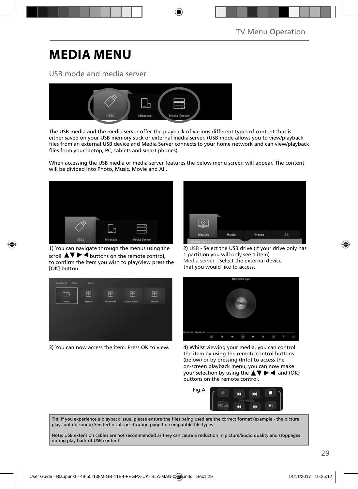## **MEDIA MENU**

### USB mode and media server



The USB media and the media server offer the playback of various different types of content that is either saved on your USB memory stick or external media server. (USB mode allows you to view/playback files from an external USB device and Media Server connects to your home network and can view/playback files from your laptop, PC, tablets and smart phones).

When accessing the USB media or media server features the below menu screen will appear. The content will be divided into Photo, Music, Movie and All.



1) You can navigate through the menus using the scroll  $\triangle \triangledown \triangleright \blacktriangleleft$  buttons on the remote control, to confirm the item you wish to play/view press the [OK] button.



3) You can now access the item. Press OK to view. 4) Whilst viewing your media, you can control



2) USB - Select the USB drive (If your drive only has 1 partition you will only see 1 item) Media server - Select the external device that you would like to access.



the item by using the remote control buttons (below) or by pressing (Info) to access the on-screen playback menu, you can now make your selection by using the  $\blacktriangle \blacktriangledown \blacktriangleright \blacktriangleleft$  and (OK) buttons on the remote control.



Tip: If you experience a playback issue, please ensure the files being used are the correct format (example - the picture plays but no sound) See technical specification page for compatible file types

Note: USB extension cables are not recommended as they can cause a reduction in picture/audio quality and stoppages during play back of USB content.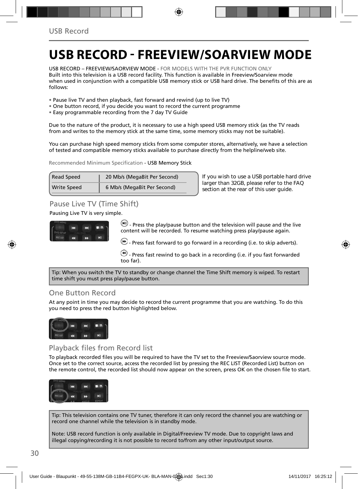## **USB RECORD - FREEVIEW/SOARVIEW MODE**

USB RECORD – FREEVIEW/SAORVIEW MODE - FOR MODELS WITH THE PVR FUNCTION ONLY Built into this television is a USB record facility. This function is available in Freeview/Soarview mode when used in conjunction with a compatible USB memory stick or USB hard drive. The benefits of this are as follows:

- Pause live TV and then playback, fast forward and rewind (up to live TV)
- One button record, if you decide you want to record the current programme
- Easy programmable recording from the 7 day TV Guide

Due to the nature of the product, it is necessary to use a high speed USB memory stick (as the TV reads from and writes to the memory stick at the same time, some memory sticks may not be suitable).

You can purchase high speed memory sticks from some computer stores, alternatively, we have a selection of tested and compatible memory sticks available to purchase directly from the helpline/web site.

Recommended Minimum Specification - USB Memory Stick

| <b>Read Speed</b>  | 20 Mb/s (MegaBit Per Second) |
|--------------------|------------------------------|
| <b>Write Speed</b> | 6 Mb/s (MegaBit Per Second)  |

**If you wish to use a USB portable hard drive larger than 32GB, please refer to the FAQ section at the rear of this user guide.**

### Pause Live TV (Time Shift)

Pausing Live TV is very simple.



 $(n)$  - Press the play/pause button and the television will pause and the live content will be recorded. To resume watching press play/pause again.

 $\bigcirc$  - Press fast forward to go forward in a recording (i.e. to skip adverts).

 $\bigcirc$  - Press fast rewind to go back in a recording (i.e. if you fast forwarded too far).

Tip: When you switch the TV to standby or change channel the Time Shift memory is wiped. To restart time shift you must press play/pause button.

### One Button Record

At any point in time you may decide to record the current programme that you are watching. To do this you need to press the red button highlighted below.



Playback files from Record list

To playback recorded files you will be required to have the TV set to the Freeview/Saorview source mode. Once set to the correct source, access the recorded list by pressing the REC LIST (Recorded List) button on the remote control, the recorded list should now appear on the screen, press OK on the chosen file to start.



Tip: This television contains one TV tuner, therefore it can only record the channel you are watching or record one channel while the television is in standby mode.

Note: USB record function is only available in Digital/Freeview TV mode. Due to copyright laws and illegal copying/recording it is not possible to record to/from any other input/output source.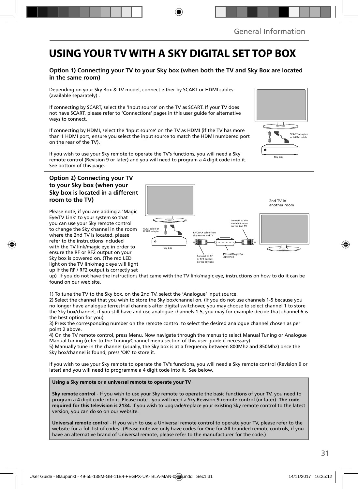## **USING YOUR TV WITH A SKY DIGITAL SET TOP BOX**

### **Option 1) Connecting your TV to your Sky box (when both the TV and Sky Box are located in the same room)**

Depending on your Sky Box & TV model, connect either by SCART or HDMI cables (available separately) .

If connecting by SCART, select the 'Input source' on the TV as SCART. If your TV does not have SCART, please refer to 'Connections' pages in this user guide for alternative ways to connect.

If connecting by HDMI, select the 'Input source' on the TV as HDMI (if the TV has more than 1 HDMI port, ensure you select the input source to match the HDMI numbered port on the rear of the TV).

If you wish to use your Sky remote to operate the TV's functions, you will need a Sky remote control (Revision 9 or later) and you will need to program a 4 digit code into it. See bottom of this page.

#### **Option 2) Connecting your TV to your Sky box (when your Sky box is located in a different room to the TV)**

Please note, if you are adding a 'Magic Eye/TV Link' to your system so that you can use your Sky remote control to change the Sky channel in the room where the 2nd TV is located, please refer to the instructions included with the TV link/magic eye in order to ensure the RF or RF2 output on your Sky box is powered on. (The red LED light on the TV link/magic eye will light up if the RF / RF2 output is correctly set



up) If you do not have the instructions that came with the TV link/magic eye, instructions on how to do it can be found on our web site.

1) To tune the TV to the Sky box, on the 2nd TV, select the 'Analogue' input source.

2) Select the channel that you wish to store the Sky box/channel on. (If you do not use channels 1-5 because you no longer have analogue terrestrial channels after digital switchover, you may choose to select channel 1 to store the Sky box/channel, if you still have and use analogue channels 1-5, you may for example decide that channel 6 is the best option for you)

3) Press the corresponding number on the remote control to select the desired analogue channel chosen as per point 2 above.

4) On the TV remote control, press Menu. Now navigate through the menus to select Manual Tuning or Analogue Manual tuning (refer to the Tuning/Channel menu section of this user guide if necessary)

5) Manually tune in the channel (usually, the Sky box is at a frequency between 800Mhz and 850Mhz) once the Sky box/channel is found, press 'OK' to store it.

If you wish to use your Sky remote to operate the TV's functions, you will need a Sky remote control (Revision 9 or later) and you will need to programme a 4 digit code into it. See below.

#### **Using a Sky remote or a universal remote to operate your TV**

**Sky remote control** - If you wish to use your Sky remote to operate the basic functions of your TV, you need to program a 4 digit code into it. Please note - you will need a Sky Revision 9 remote control (or later). **The code required for this television is 2134.** If you wish to upgrade/replace your existing Sky remote control to the latest version, you can do so on our website.

**Universal remote control** - If you wish to use a Universal remote control to operate your TV, please refer to the website for a full list of codes. (Please note we only have codes for One for All branded remote controls, if you have an alternative brand of Universal remote, please refer to the manufacturer for the code.)

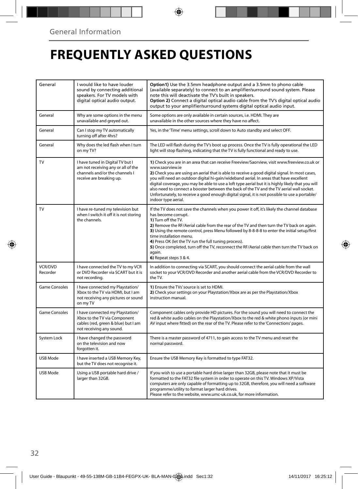## **FREQUENTLY ASKED QUESTIONS**

| General              | I would like to have louder<br>sound by connecting additional<br>speakers. For TV models with<br>digital optical audio output.       | Option1) Use the 3.5mm headphone output and a 3.5mm to phono cable<br>(available separately) to connect to an amplifier/surround sound system. Please<br>note this will deactivate the TV's built in speakers.<br>Option 2) Connect a digital optical audio cable from the TV's digital optical audio<br>output to your amplifier/surround systems digital optical audio input.                                                                                                                                                                                                                                                     |
|----------------------|--------------------------------------------------------------------------------------------------------------------------------------|-------------------------------------------------------------------------------------------------------------------------------------------------------------------------------------------------------------------------------------------------------------------------------------------------------------------------------------------------------------------------------------------------------------------------------------------------------------------------------------------------------------------------------------------------------------------------------------------------------------------------------------|
| General              | Why are some options in the menu<br>unavailable and greyed out.                                                                      | Some options are only available in certain sources, i.e. HDMI. They are<br>unavailable in the other sources where they have no affect.                                                                                                                                                                                                                                                                                                                                                                                                                                                                                              |
| General              | Can I stop my TV automatically<br>turning off after 4hrs?                                                                            | Yes, in the 'Time' menu settings, scroll down to Auto standby and select OFF.                                                                                                                                                                                                                                                                                                                                                                                                                                                                                                                                                       |
| General              | Why does the led flash when I turn<br>on my TV?                                                                                      | The LED will flash during the TV's boot up process. Once the TV is fully operational the LED<br>light will stop flashing, indicating that the TV is fully functional and ready to use.                                                                                                                                                                                                                                                                                                                                                                                                                                              |
| TV                   | I have tuned in Digital TV but I<br>am not receiving any or all of the<br>channels and/or the channels I<br>receive are breaking up. | 1) Check you are in an area that can receive Freeview/Saorview, visit www.freeview.co.uk or<br>www.saorview.ie<br>2) Check you are using an aerial that is able to receive a good digital signal. In most cases,<br>you will need an outdoor digital hi-gain/wideband aerial. In areas that have excellent<br>digital coverage, you may be able to use a loft type aerial but it is highly likely that you will<br>also need to connect a booster between the back of the TV and the TV aerial wall socket.<br>Unfortunately, to receive a good enough digital signal, it is not possible to use a portable/<br>indoor type aerial. |
| TV                   | I have re-tuned my television but<br>when I switch it off it is not storing<br>the channels.                                         | If the TV does not save the channels when you power it off, it's likely the channel database<br>has become corrupt.<br>1) Turn off the TV.<br>2) Remove the RF/Aerial cable from the rear of the TV and then turn the TV back on again.<br>3) Using the remote control, press Menu followed by 8-8-8-8 to enter the initial setup/first<br>time installation menu.<br>4) Press OK (let the TV run the full tuning process).<br>5) Once completed, turn off the TV, reconnect the RF/Aerial cable then turn the TV back on<br>again.<br>6) Repeat steps 3 & 4.                                                                       |
| VCR/DVD<br>Recorder  | I have connected the TV to my VCR<br>or DVD Recorder via SCART but it is<br>not recording.                                           | In addition to connecting via SCART, you should connect the aerial cable from the wall<br>socket to your VCR/DVD Recorder and another aerial cable from the VCR/DVD Recorder to<br>the TV.                                                                                                                                                                                                                                                                                                                                                                                                                                          |
| <b>Game Consoles</b> | I have connected my Playstation/<br>Xbox to the TV via HDMI, but I am<br>not receiving any pictures or sound<br>on my TV             | 1) Ensure the TVs' source is set to HDMI.<br>2) Check your settings on your Playstation/Xbox are as per the Playstation/Xbox<br>instruction manual.                                                                                                                                                                                                                                                                                                                                                                                                                                                                                 |
| Game Consoles        | I have connected my Playstation/<br>Xbox to the TV via Component<br>cables (red, green & blue) but I am<br>not receiving any sound.  | Component cables only provide HD pictures. For the sound you will need to connect the<br>red & white audio cables on the Playstation/Xbox to the red & white phono inputs (or mini<br>AV input where fitted) on the rear of the TV. Please refer to the 'Connections' pages.                                                                                                                                                                                                                                                                                                                                                        |
| System Lock          | I have changed the password<br>on the television and now<br>forgotten it.                                                            | There is a master password of 4711, to gain access to the TV menu and reset the<br>normal password.                                                                                                                                                                                                                                                                                                                                                                                                                                                                                                                                 |
| USB Mode             | I have inserted a USB Memory Key,<br>but the TV does not recognise it.                                                               | Ensure the USB Memory Key is formatted to type FAT32.                                                                                                                                                                                                                                                                                                                                                                                                                                                                                                                                                                               |
| USB Mode             | Using a USB portable hard drive /<br>larger than 32GB.                                                                               | If you wish to use a portable hard drive larger than 32GB, please note that it must be<br>formatted to the FAT32 file system in order to operate on this TV. Windows XP/Vista<br>computers are only capable of formatting up to 32GB, therefore, you will need a software<br>programme/utility to format larger hard drives.<br>Please refer to the website, www.umc-uk.co.uk, for more information.                                                                                                                                                                                                                                |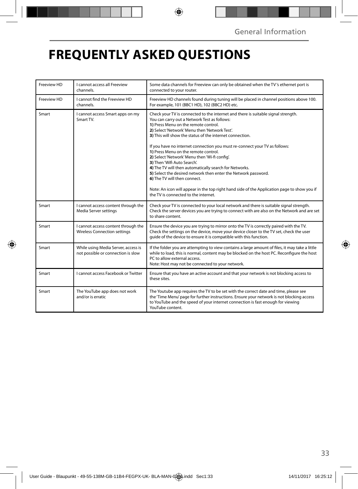## **FREQUENTLY ASKED QUESTIONS**

| Freeview HD | I cannot access all Freeview<br>channels.                                  | Some data channels for Freeview can only be obtained when the TV's ethernet port is<br>connected to your router.                                                                                                                                                                                                                                                                                                                                                                                                                                                                                                                                                                                                                                                                                |  |
|-------------|----------------------------------------------------------------------------|-------------------------------------------------------------------------------------------------------------------------------------------------------------------------------------------------------------------------------------------------------------------------------------------------------------------------------------------------------------------------------------------------------------------------------------------------------------------------------------------------------------------------------------------------------------------------------------------------------------------------------------------------------------------------------------------------------------------------------------------------------------------------------------------------|--|
| Freeview HD | I cannot find the Freeview HD<br>channels.                                 | Freeview HD channels found during tuning will be placed in channel positions above 100.<br>For example, 101 (BBC1 HD), 102 (BBC2 HD) etc.                                                                                                                                                                                                                                                                                                                                                                                                                                                                                                                                                                                                                                                       |  |
| Smart       | I cannot access Smart apps on my<br>Smart TV.                              | Check your TV is connected to the internet and there is suitable signal strength.<br>You can carry out a Network Test as follows:<br>1) Press Menu on the remote control.<br>2) Select 'Network' Menu then 'Network Test'.<br>3) This will show the status of the internet connection.<br>If you have no internet connection you must re-connect your TV as follows:<br>1) Press Menu on the remote control.<br>2) Select 'Network' Menu then 'Wi-fi config'.<br>3) Then 'Wifi Auto Search'.<br>4) The TV will then automatically search for Networks.<br>5) Select the desired network then enter the Network password.<br>6) The TV will then connect.<br>Note: An icon will appear in the top right hand side of the Application page to show you if<br>the TV is connected to the internet. |  |
| Smart       | I cannot access content through the<br>Media Server settings               | Check your TV is connected to your local network and there is suitable signal strength.<br>Check the server devices you are trying to connect with are also on the Network and are set<br>to share content.                                                                                                                                                                                                                                                                                                                                                                                                                                                                                                                                                                                     |  |
| Smart       | I cannot access content through the<br><b>Wireless Connection settings</b> | Ensure the device you are trying to mirror onto the TV is correctly paired with the TV.<br>Check the settings on the device, move your device closer to the TV set, check the user<br>quide of the device to ensure it is compatible with this function.                                                                                                                                                                                                                                                                                                                                                                                                                                                                                                                                        |  |
| Smart       | While using Media Server, access is<br>not possible or connection is slow  | If the folder you are attempting to view contains a large amount of files, it may take a little<br>while to load, this is normal, content may be blocked on the host PC. Reconfigure the host<br>PC to allow external access.<br>Note: Host may not be connected to your network.                                                                                                                                                                                                                                                                                                                                                                                                                                                                                                               |  |
| Smart       | I cannot access Facebook or Twitter                                        | Ensure that you have an active account and that your network is not blocking access to<br>these sites.                                                                                                                                                                                                                                                                                                                                                                                                                                                                                                                                                                                                                                                                                          |  |
| Smart       | The YouTube app does not work<br>and/or is erratic                         | The Youtube app requires the TV to be set with the correct date and time, please see<br>the 'Time Menu' page for further instructions. Ensure your network is not blocking access<br>to YouTube and the speed of your internet connection is fast enough for viewing<br>YouTube content.                                                                                                                                                                                                                                                                                                                                                                                                                                                                                                        |  |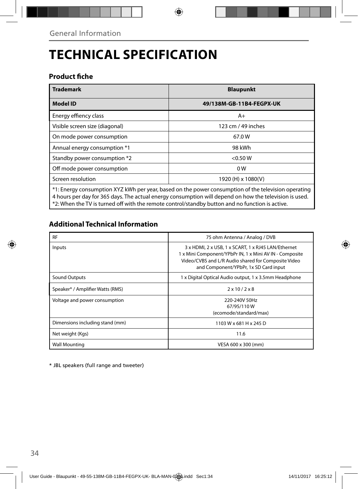# **TECHNICAL SPECIFICATION**

### **Product fiche**

| <b>Trademark</b>                                                                                    | <b>Blaupunkt</b>         |  |  |
|-----------------------------------------------------------------------------------------------------|--------------------------|--|--|
| <b>Model ID</b>                                                                                     | 49/138M-GB-11B4-FEGPX-UK |  |  |
| Energy effiency class                                                                               | A+                       |  |  |
| Visible screen size (diagonal)                                                                      | 123 cm / 49 inches       |  |  |
| On mode power consumption                                                                           | 67.0W                    |  |  |
| Annual energy consumption *1                                                                        | 98 kWh                   |  |  |
| Standby power consumption *2                                                                        | < 0.50 W                 |  |  |
| Off mode power consumption                                                                          | 0 <sub>W</sub>           |  |  |
| Screen resolution                                                                                   | 1920 (H) x 1080(V)       |  |  |
| *1: Energy consumption XYZ kWh per year, based on the power consumption of the television operating |                          |  |  |

\*1: Energy consumption XYZ kWh per year, based on the power consumption of the television operating 4 hours per day for 365 days. The actual energy consumption will depend on how the television is used. \*2: When the TV is turned off with the remote control/standby button and no function is active.

### **Additional Technical Information**

| <b>RF</b>                        | 75 ohm Antenna / Analog / DVB                                                                                                                                                                                  |  |  |
|----------------------------------|----------------------------------------------------------------------------------------------------------------------------------------------------------------------------------------------------------------|--|--|
| Inputs                           | 3 x HDMI, 2 x USB, 1 x SCART, 1 x RJ45 LAN/Ethernet<br>1 x Mini Component/YPbPr IN, 1 x Mini AV IN - Composite<br>Video/CVBS and L/R Audio shared for Composite Video<br>and Component/YPbPr, 1x SD Card input |  |  |
| Sound Outputs                    | 1 x Digital Optical Audio output, 1 x 3.5mm Headphone                                                                                                                                                          |  |  |
| Speaker* / Amplifier Watts (RMS) | $2 \times 10 / 2 \times 8$                                                                                                                                                                                     |  |  |
| Voltage and power consumption    | 220-240V 50Hz<br>67/95/110W<br>(ecomode/standard/max)                                                                                                                                                          |  |  |
| Dimensions including stand (mm)  | 1103 W x 681 H x 245 D                                                                                                                                                                                         |  |  |
| Net weight (Kgs)                 | 11.6                                                                                                                                                                                                           |  |  |
| <b>Wall Mounting</b>             | VESA 600 x 300 (mm)                                                                                                                                                                                            |  |  |

\* JBL speakers (full range and tweeter)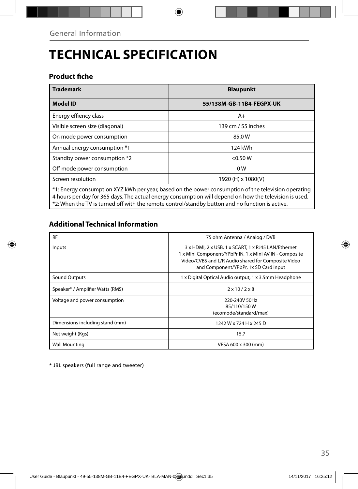# **TECHNICAL SPECIFICATION**

### **Product fiche**

| <b>Trademark</b>                                                                                       | <b>Blaupunkt</b>         |  |  |
|--------------------------------------------------------------------------------------------------------|--------------------------|--|--|
| <b>Model ID</b>                                                                                        | 55/138M-GB-11B4-FEGPX-UK |  |  |
| Energy effiency class                                                                                  | A+                       |  |  |
| Visible screen size (diagonal)                                                                         | 139 cm / 55 inches       |  |  |
| On mode power consumption                                                                              | 85.0W                    |  |  |
| Annual energy consumption *1                                                                           | 124 kWh                  |  |  |
| Standby power consumption *2                                                                           | < 0.50 W                 |  |  |
| Off mode power consumption                                                                             | 0 <sub>W</sub>           |  |  |
| Screen resolution                                                                                      | 1920 (H) x 1080(V)       |  |  |
| $*1$ : Energy consumption XYZ kWh per year, based on the power consumption of the television operating |                          |  |  |

\*1: Energy consumption XYZ kWh per year, based on the power consumption of the television operating 4 hours per day for 365 days. The actual energy consumption will depend on how the television is used. \*2: When the TV is turned off with the remote control/standby button and no function is active.

### **Additional Technical Information**

| <b>RF</b>                        | 75 ohm Antenna / Analog / DVB                                                                                                                                                                                  |  |  |
|----------------------------------|----------------------------------------------------------------------------------------------------------------------------------------------------------------------------------------------------------------|--|--|
| Inputs                           | 3 x HDMI, 2 x USB, 1 x SCART, 1 x RJ45 LAN/Ethernet<br>1 x Mini Component/YPbPr IN, 1 x Mini AV IN - Composite<br>Video/CVBS and L/R Audio shared for Composite Video<br>and Component/YPbPr, 1x SD Card input |  |  |
| Sound Outputs                    | 1 x Digital Optical Audio output, 1 x 3.5mm Headphone                                                                                                                                                          |  |  |
| Speaker* / Amplifier Watts (RMS) | $2 \times 10 / 2 \times 8$                                                                                                                                                                                     |  |  |
| Voltage and power consumption    | 220-240V 50Hz<br>85/110/150W<br>(ecomode/standard/max)                                                                                                                                                         |  |  |
| Dimensions including stand (mm)  | 1242 W x 724 H x 245 D                                                                                                                                                                                         |  |  |
| Net weight (Kgs)                 | 15.7                                                                                                                                                                                                           |  |  |
| <b>Wall Mounting</b>             | VESA 600 x 300 (mm)                                                                                                                                                                                            |  |  |

\* JBL speakers (full range and tweeter)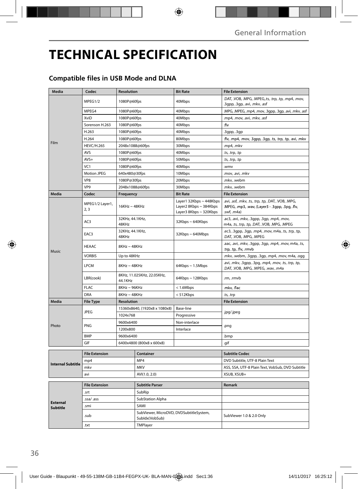## **TECHNICAL SPECIFICATION**

### **Compatible files in USB Mode and DLNA**

| Media                              | Codec                  | <b>Resolution</b>                     |                                                           | <b>Bit Rate</b>                                                             | <b>File Extension</b>                                                                                                 |
|------------------------------------|------------------------|---------------------------------------|-----------------------------------------------------------|-----------------------------------------------------------------------------|-----------------------------------------------------------------------------------------------------------------------|
|                                    | MPEG1/2                | 1080P@60fps                           |                                                           | 40Mbps                                                                      | .DAT, .VOB, .MPG, .MPEG,.ts, .trp, .tp, .mp4, .mov,<br>.3gpp, .3gp, .avi, .mkv, .asf                                  |
|                                    | MPEG4                  | 1080P@60fps                           |                                                           | 40Mbps                                                                      | .MPG, .MPEG, .mp4, .mov, .3gpp, .3gp, .avi, .mkv, .asf                                                                |
|                                    | XviD                   | 1080P@60fps                           |                                                           | 40Mbps                                                                      | .mp4, .mov, .avi, .mkv, .asf                                                                                          |
|                                    | Sorenson H.263         | 1080P@60fps                           |                                                           | 40Mbps                                                                      | .flv                                                                                                                  |
|                                    | H.263                  | 1080P@60fps                           |                                                           | 40Mbps                                                                      | .3gpp, .3gp                                                                                                           |
|                                    | H.264                  | 1080P@60fps                           |                                                           | 80Mbps                                                                      | .flv, .mp4, .mov, .3gpp, .3gp, .ts, .trp, .tp, .avi, .mkv                                                             |
| Film                               | <b>HEVC/H.265</b>      | 2048x1088@60fps                       |                                                           | 30Mbps                                                                      | .mp4, .mkv                                                                                                            |
|                                    | AVS                    | 1080P@60fps                           |                                                           | 40Mbps                                                                      | .ts, .trp, .tp                                                                                                        |
|                                    | $AVS+$                 | 1080P@60fps                           |                                                           | 50Mbps                                                                      | .ts, .trp, .tp                                                                                                        |
|                                    | VC <sub>1</sub>        | 1080P@60fps                           |                                                           | 40Mbps                                                                      | .wmv                                                                                                                  |
|                                    | <b>Motion JPEG</b>     | 640x480@30fps                         |                                                           | 10Mbps                                                                      | .mov, .avi, .mkv                                                                                                      |
|                                    | VP8                    | 1080P@30fps                           |                                                           | 20Mbps                                                                      | .mkv, .webm                                                                                                           |
|                                    | VP9                    | 2048x1088@60fps                       |                                                           | 30Mbps                                                                      | .mkv, .webm                                                                                                           |
| Media                              | Codec                  | Frequency                             |                                                           | <b>Bit Rate</b>                                                             | <b>File Extension</b>                                                                                                 |
|                                    | MPEG1/2 Layer1,<br>2,3 | $16KHz \sim 48KHz$                    |                                                           | Layer1 32Kbps ~ 448Kbps<br>Layer2 8Kbps ~ 384Kbps<br>Layer3 8Kbps ~ 320Kbps | .avi, .asf, .mkv, .ts, .trp, .tp, .DAT, .VOB, .MPG,<br>.MPEG, .mp3, .wav, (Layer3 - .3gpp, .3pg, .flv,<br>.swf, .m4a) |
|                                    | AC3                    | 32KHz, 44.1KHz,<br>48KHz              |                                                           | 32Kbps~640Kbps                                                              | .ac3, .avi, .mkv, .3gpp, .3gp, .mp4, .mov,<br>m4a, .ts, .trp, .tp, .DAT, .VOB, .MPG, .MPEG                            |
|                                    | EAC3                   | 32KHz, 44.1KHz,<br>48KHz              |                                                           | $32Kbps \sim 640Mbps$                                                       | .ec3, .3gpp, .3gp, .mp4, .mov, m4a, .ts, .trp, .tp,<br>.DAT, .VOB, .MPG, .MPEG                                        |
| Music                              | HEAAC                  | $8$ KHz ~ $48$ KHz                    |                                                           |                                                                             | .aac, .avi, .mkv, .3gpp, .3gp, .mp4, .mov, m4a, .ts,<br>.trp, .tp, .flv, .rmvb                                        |
|                                    | <b>VORBIS</b>          | Up to 48KHz                           |                                                           |                                                                             | .mkv, .webm, .3gpp, .3gp, .mp4, .mov, m4a, .ogg                                                                       |
|                                    | LPCM                   | $8KHz \sim 48KHz$                     |                                                           | $64Kbps \sim 1.5Mbps$                                                       | .avi, .mkv, .3gpp, .3pg, .mp4, .mov, .ts, .trp, .tp,<br>.DAT, .VOB, .MPG, .MPEG, .wav, .m4a                           |
|                                    | LBR(cook)              | 8KHz, 11.025KHz, 22.05KHz,<br>44.1KHz |                                                           | $64Kbps \sim 128Kbps$                                                       | .rm, .rmvb                                                                                                            |
|                                    | <b>FLAC</b>            | 8KHz~96KHz                            |                                                           | < 1.6Mbps                                                                   | .mkv, .flac                                                                                                           |
|                                    | DRA                    | $8$ KHz ~ $48$ KHz                    |                                                           | <512Kbps                                                                    | .ts, .trp                                                                                                             |
| Media                              | <b>File Type</b>       | <b>Resolution</b>                     |                                                           |                                                                             | <b>File Extension</b>                                                                                                 |
|                                    | <b>JPEG</b>            |                                       | 15360x8640, (1920x8 x 1080x8)                             | Base-line                                                                   | .jpg/.jpeg                                                                                                            |
|                                    |                        | 1024x768                              |                                                           | Progressive                                                                 |                                                                                                                       |
| Photo                              | PNG                    | 9600x6400<br>1200x800                 |                                                           | Non-interlace                                                               | .png                                                                                                                  |
|                                    |                        |                                       |                                                           | Interlace                                                                   |                                                                                                                       |
|                                    | <b>BMP</b>             | 9600x6400                             |                                                           |                                                                             | .bmp                                                                                                                  |
|                                    | GIF                    | 6400x4800 (800x8 x 600x8)             |                                                           |                                                                             | .gif                                                                                                                  |
|                                    | <b>File Extension</b>  | Container                             |                                                           |                                                                             | <b>Subtitle Codec</b>                                                                                                 |
| <b>Internal Subtitle</b>           | mp4                    |                                       |                                                           |                                                                             | DVD Subtitle, UTF-8 Plain Text                                                                                        |
|                                    | mky                    |                                       | MP4<br><b>MKV</b>                                         |                                                                             | ASS, SSA, UTF-8 Plain Text, VobSub, DVD Subtitle                                                                      |
|                                    | avi                    |                                       |                                                           |                                                                             | XSUB, XSUB+                                                                                                           |
|                                    |                        |                                       |                                                           |                                                                             |                                                                                                                       |
| <b>External</b><br><b>Subtitle</b> | <b>File Extension</b>  |                                       |                                                           |                                                                             | Remark                                                                                                                |
|                                    | .srt                   |                                       | SubRip                                                    |                                                                             |                                                                                                                       |
|                                    | .ssa/.ass              |                                       | <b>SubStation Alpha</b>                                   |                                                                             |                                                                                                                       |
|                                    | .smi                   |                                       | SAMI                                                      |                                                                             |                                                                                                                       |
|                                    | .sub                   |                                       | SubViewer, MicroDVD, DVDSubtitleSystem,<br>Subldx(VobSub) |                                                                             | SubViewer 1.0 & 2.0 Only                                                                                              |
|                                    | .txt                   |                                       | TMPlayer                                                  |                                                                             |                                                                                                                       |